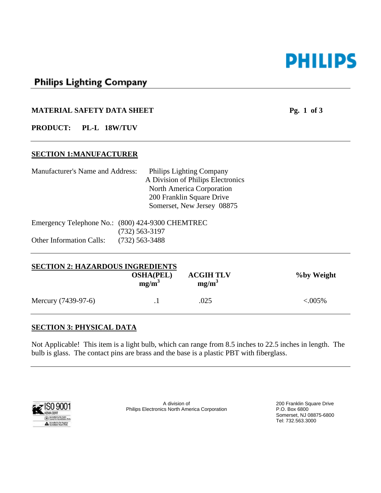

# **Philips Lighting Company**

#### **MATERIAL SAFETY DATA SHEET** Pg. 1 of 3

**PRODUCT: PL-L 18W/TUV** 

#### **SECTION 1:MANUFACTURER**

| <b>Manufacturer's Name and Address:</b> | Philips Lighting Company                         |  |
|-----------------------------------------|--------------------------------------------------|--|
|                                         | A Division of Philips Electronics                |  |
|                                         | North America Corporation                        |  |
|                                         | 200 Franklin Square Drive                        |  |
|                                         | Somerset, New Jersey 08875                       |  |
|                                         | Emergency Telephone No.: (800) 424-9300 CHEMTREC |  |
|                                         | $(732)$ 563-3197                                 |  |
| <b>Other Information Calls:</b>         | $(732)$ 563-3488                                 |  |

| <b>SECTION 2: HAZARDOUS INGREDIENTS</b> |                              |                              |            |
|-----------------------------------------|------------------------------|------------------------------|------------|
|                                         | <b>OSHA(PEL)</b><br>$mg/m^3$ | <b>ACGIH TLV</b><br>$mg/m^3$ | %by Weight |
| Mercury (7439-97-6)                     |                              | .025                         | ${<}005\%$ |

#### **SECTION 3: PHYSICAL DATA**

Not Applicable! This item is a light bulb, which can range from 8.5 inches to 22.5 inches in length. The bulb is glass. The contact pins are brass and the base is a plastic PBT with fiberglass.



A division of 200 Franklin Square Drive<br>
cs North America Corporation<br>
P.O. Box 6800 Philips Electronics North America Corporation

Somerset, NJ 08875-6800 Tel: 732.563.3000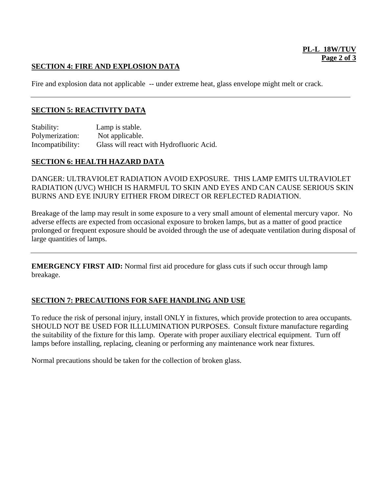## **SECTION 4: FIRE AND EXPLOSION DATA**

Fire and explosion data not applicable -- under extreme heat, glass envelope might melt or crack.

### **SECTION 5: REACTIVITY DATA**

Stability: Lamp is stable. Polymerization: Not applicable. Incompatibility: Glass will react with Hydrofluoric Acid.

#### **SECTION 6: HEALTH HAZARD DATA**

DANGER: ULTRAVIOLET RADIATION AVOID EXPOSURE. THIS LAMP EMITS ULTRAVIOLET RADIATION (UVC) WHICH IS HARMFUL TO SKIN AND EYES AND CAN CAUSE SERIOUS SKIN BURNS AND EYE INJURY EITHER FROM DIRECT OR REFLECTED RADIATION.

Breakage of the lamp may result in some exposure to a very small amount of elemental mercury vapor. No adverse effects are expected from occasional exposure to broken lamps, but as a matter of good practice prolonged or frequent exposure should be avoided through the use of adequate ventilation during disposal of large quantities of lamps.

**EMERGENCY FIRST AID:** Normal first aid procedure for glass cuts if such occur through lamp breakage.

## **SECTION 7: PRECAUTIONS FOR SAFE HANDLING AND USE**

To reduce the risk of personal injury, install ONLY in fixtures, which provide protection to area occupants. SHOULD NOT BE USED FOR ILLLUMINATION PURPOSES. Consult fixture manufacture regarding the suitability of the fixture for this lamp. Operate with proper auxiliary electrical equipment. Turn off lamps before installing, replacing, cleaning or performing any maintenance work near fixtures.

Normal precautions should be taken for the collection of broken glass.